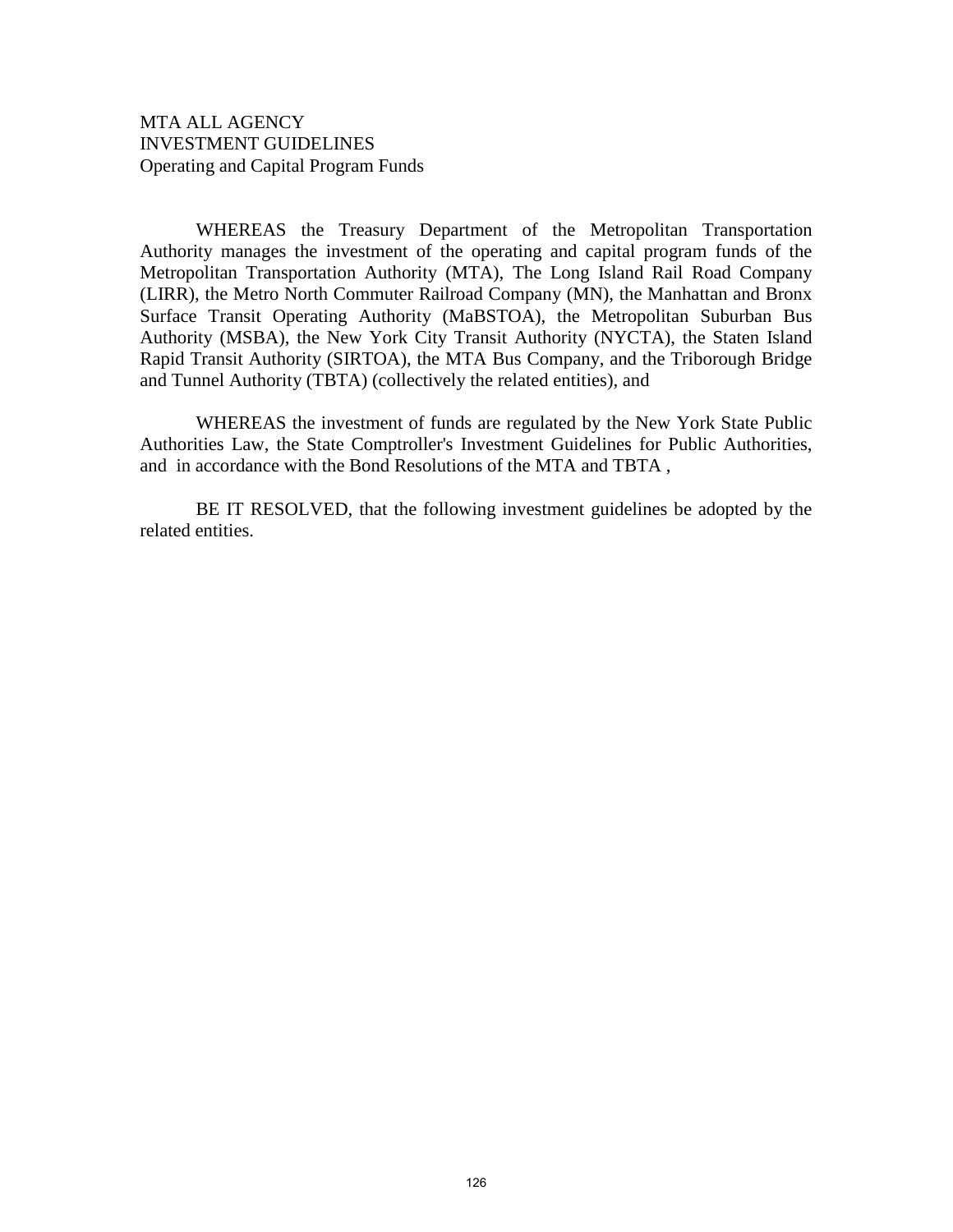# MTA ALL AGENCY INVESTMENT GUIDELINES Operating and Capital Program Funds

WHEREAS the Treasury Department of the Metropolitan Transportation Authority manages the investment of the operating and capital program funds of the Metropolitan Transportation Authority (MTA), The Long Island Rail Road Company (LIRR), the Metro North Commuter Railroad Company (MN), the Manhattan and Bronx Surface Transit Operating Authority (MaBSTOA), the Metropolitan Suburban Bus Authority (MSBA), the New York City Transit Authority (NYCTA), the Staten Island Rapid Transit Authority (SIRTOA), the MTA Bus Company, and the Triborough Bridge and Tunnel Authority (TBTA) (collectively the related entities), and

WHEREAS the investment of funds are regulated by the New York State Public Authorities Law, the State Comptroller's Investment Guidelines for Public Authorities, and in accordance with the Bond Resolutions of the MTA and TBTA ,

BE IT RESOLVED, that the following investment guidelines be adopted by the related entities.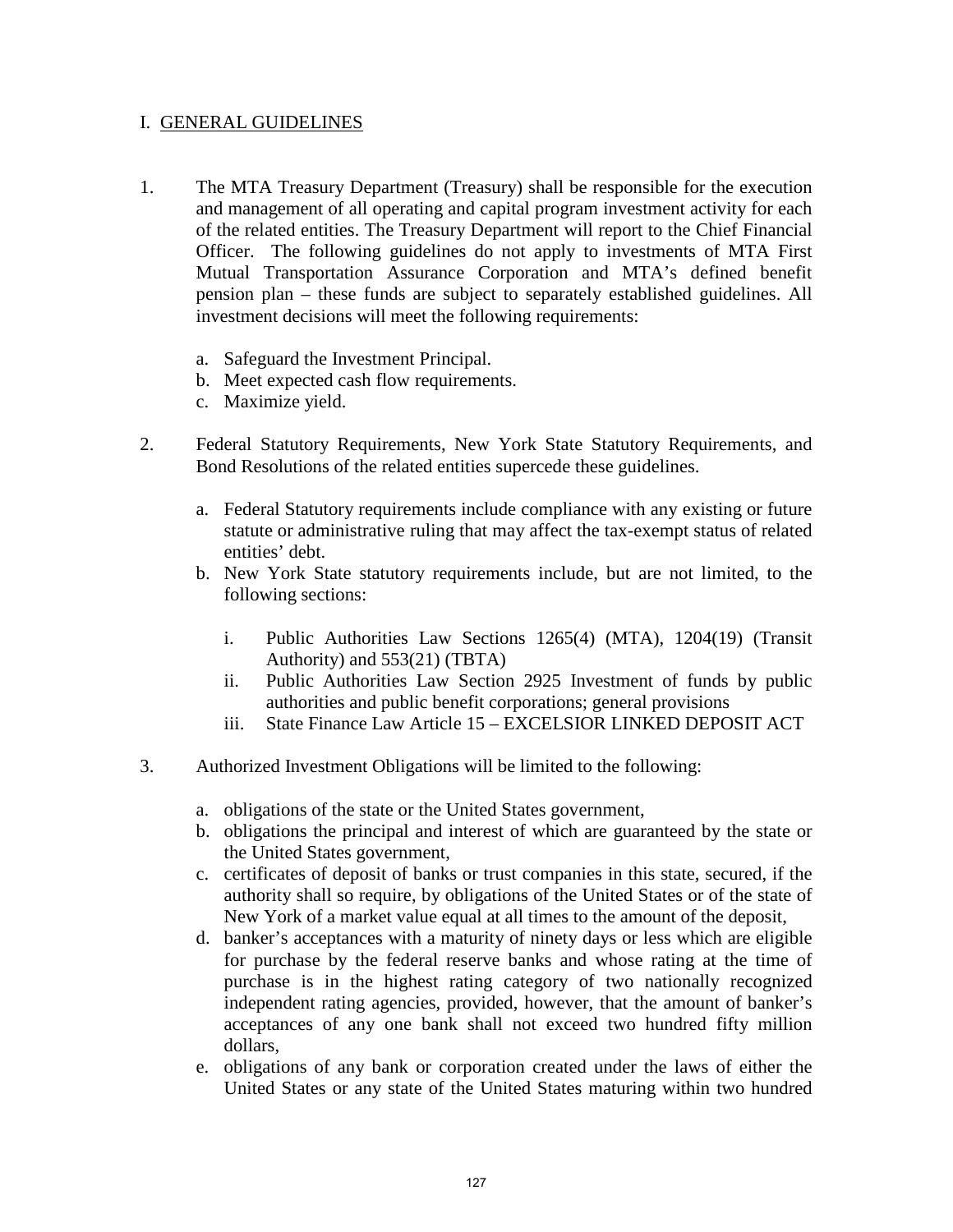#### I. GENERAL GUIDELINES

- 1. The MTA Treasury Department (Treasury) shall be responsible for the execution and management of all operating and capital program investment activity for each of the related entities. The Treasury Department will report to the Chief Financial Officer. The following guidelines do not apply to investments of MTA First Mutual Transportation Assurance Corporation and MTA's defined benefit pension plan – these funds are subject to separately established guidelines. All investment decisions will meet the following requirements:
	- a. Safeguard the Investment Principal.
	- b. Meet expected cash flow requirements.
	- c. Maximize yield.
- 2. Federal Statutory Requirements, New York State Statutory Requirements, and Bond Resolutions of the related entities supercede these guidelines.
	- a. Federal Statutory requirements include compliance with any existing or future statute or administrative ruling that may affect the tax-exempt status of related entities' debt.
	- b. New York State statutory requirements include, but are not limited, to the following sections:
		- i. Public Authorities Law Sections 1265(4) (MTA), 1204(19) (Transit Authority) and 553(21) (TBTA)
		- ii. Public Authorities Law Section 2925 Investment of funds by public authorities and public benefit corporations; general provisions
		- iii. State Finance Law Article 15 EXCELSIOR LINKED DEPOSIT ACT
- 3. Authorized Investment Obligations will be limited to the following:
	- a. obligations of the state or the United States government,
	- b. obligations the principal and interest of which are guaranteed by the state or the United States government,
	- c. certificates of deposit of banks or trust companies in this state, secured, if the authority shall so require, by obligations of the United States or of the state of New York of a market value equal at all times to the amount of the deposit,
	- d. banker's acceptances with a maturity of ninety days or less which are eligible for purchase by the federal reserve banks and whose rating at the time of purchase is in the highest rating category of two nationally recognized independent rating agencies, provided, however, that the amount of banker's acceptances of any one bank shall not exceed two hundred fifty million dollars,
	- e. obligations of any bank or corporation created under the laws of either the United States or any state of the United States maturing within two hundred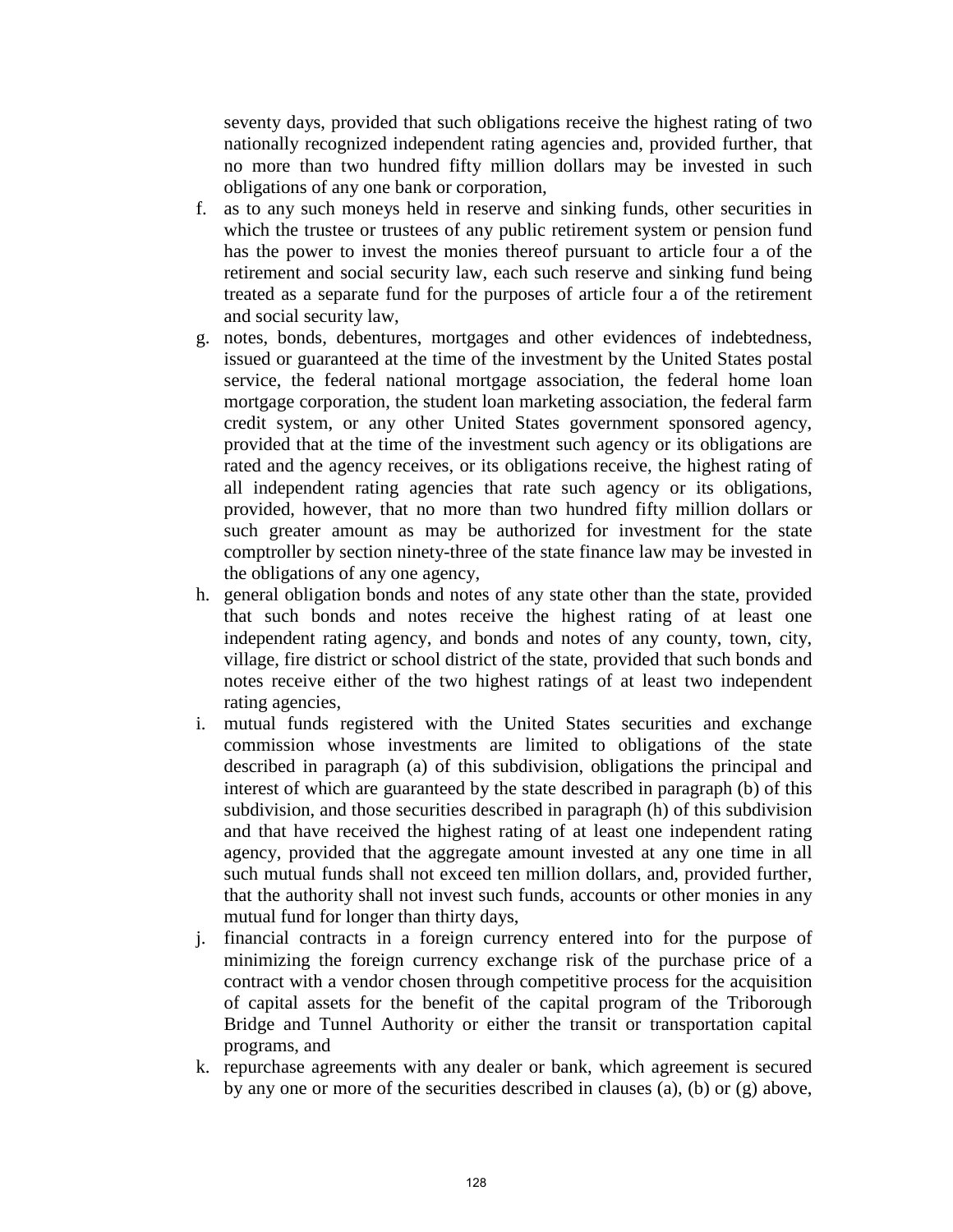seventy days, provided that such obligations receive the highest rating of two nationally recognized independent rating agencies and, provided further, that no more than two hundred fifty million dollars may be invested in such obligations of any one bank or corporation,

- f. as to any such moneys held in reserve and sinking funds, other securities in which the trustee or trustees of any public retirement system or pension fund has the power to invest the monies thereof pursuant to article four a of the retirement and social security law, each such reserve and sinking fund being treated as a separate fund for the purposes of article four a of the retirement and social security law,
- g. notes, bonds, debentures, mortgages and other evidences of indebtedness, issued or guaranteed at the time of the investment by the United States postal service, the federal national mortgage association, the federal home loan mortgage corporation, the student loan marketing association, the federal farm credit system, or any other United States government sponsored agency, provided that at the time of the investment such agency or its obligations are rated and the agency receives, or its obligations receive, the highest rating of all independent rating agencies that rate such agency or its obligations, provided, however, that no more than two hundred fifty million dollars or such greater amount as may be authorized for investment for the state comptroller by section ninety-three of the state finance law may be invested in the obligations of any one agency,
- h. general obligation bonds and notes of any state other than the state, provided that such bonds and notes receive the highest rating of at least one independent rating agency, and bonds and notes of any county, town, city, village, fire district or school district of the state, provided that such bonds and notes receive either of the two highest ratings of at least two independent rating agencies,
- i. mutual funds registered with the United States securities and exchange commission whose investments are limited to obligations of the state described in paragraph (a) of this subdivision, obligations the principal and interest of which are guaranteed by the state described in paragraph (b) of this subdivision, and those securities described in paragraph (h) of this subdivision and that have received the highest rating of at least one independent rating agency, provided that the aggregate amount invested at any one time in all such mutual funds shall not exceed ten million dollars, and, provided further, that the authority shall not invest such funds, accounts or other monies in any mutual fund for longer than thirty days,
- j. financial contracts in a foreign currency entered into for the purpose of minimizing the foreign currency exchange risk of the purchase price of a contract with a vendor chosen through competitive process for the acquisition of capital assets for the benefit of the capital program of the Triborough Bridge and Tunnel Authority or either the transit or transportation capital programs, and
- k. repurchase agreements with any dealer or bank, which agreement is secured by any one or more of the securities described in clauses (a), (b) or (g) above,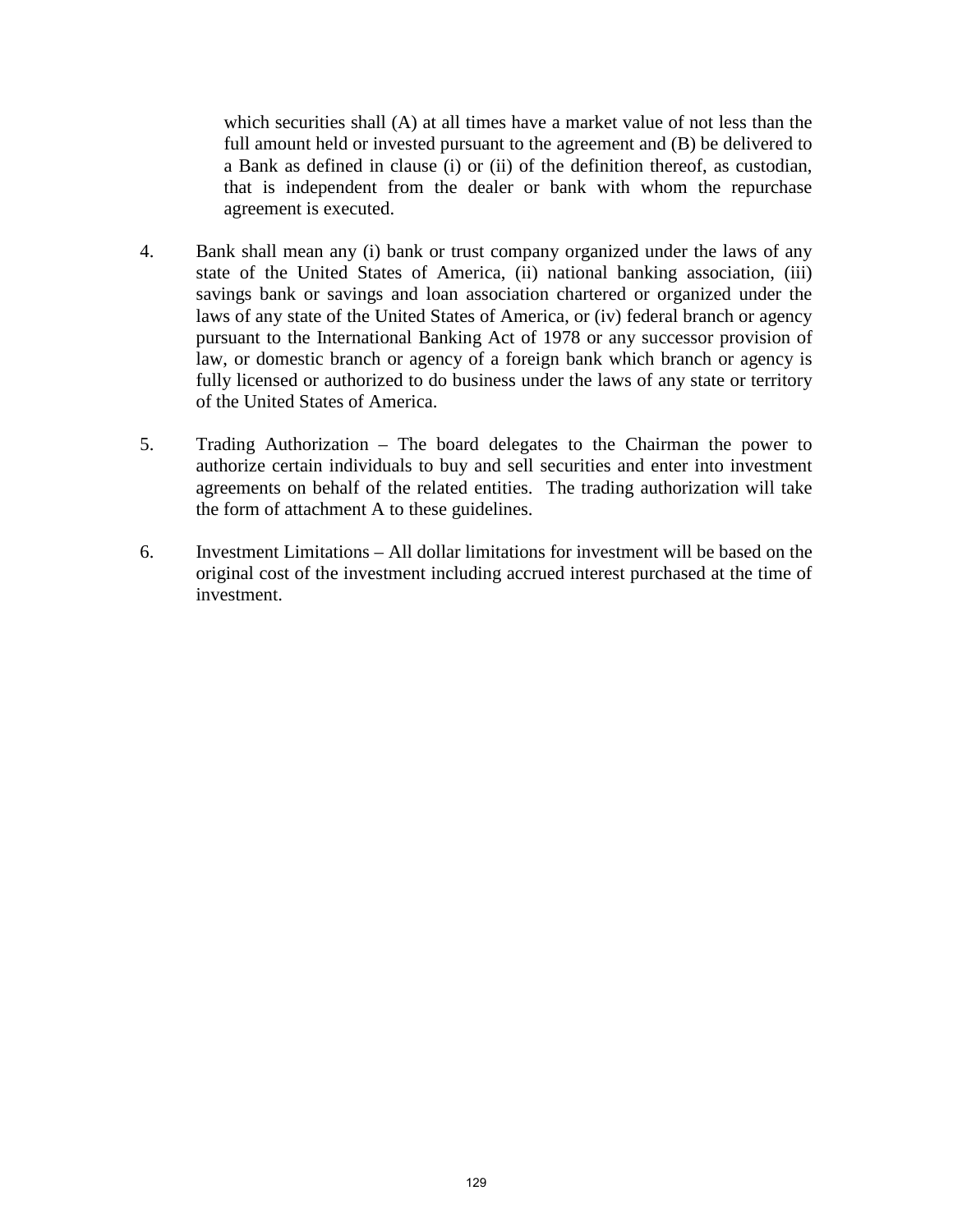which securities shall (A) at all times have a market value of not less than the full amount held or invested pursuant to the agreement and (B) be delivered to a Bank as defined in clause (i) or (ii) of the definition thereof, as custodian, that is independent from the dealer or bank with whom the repurchase agreement is executed.

- 4. Bank shall mean any (i) bank or trust company organized under the laws of any state of the United States of America, (ii) national banking association, (iii) savings bank or savings and loan association chartered or organized under the laws of any state of the United States of America, or (iv) federal branch or agency pursuant to the International Banking Act of 1978 or any successor provision of law, or domestic branch or agency of a foreign bank which branch or agency is fully licensed or authorized to do business under the laws of any state or territory of the United States of America.
- 5. Trading Authorization The board delegates to the Chairman the power to authorize certain individuals to buy and sell securities and enter into investment agreements on behalf of the related entities. The trading authorization will take the form of attachment A to these guidelines.
- 6. Investment Limitations All dollar limitations for investment will be based on the original cost of the investment including accrued interest purchased at the time of investment.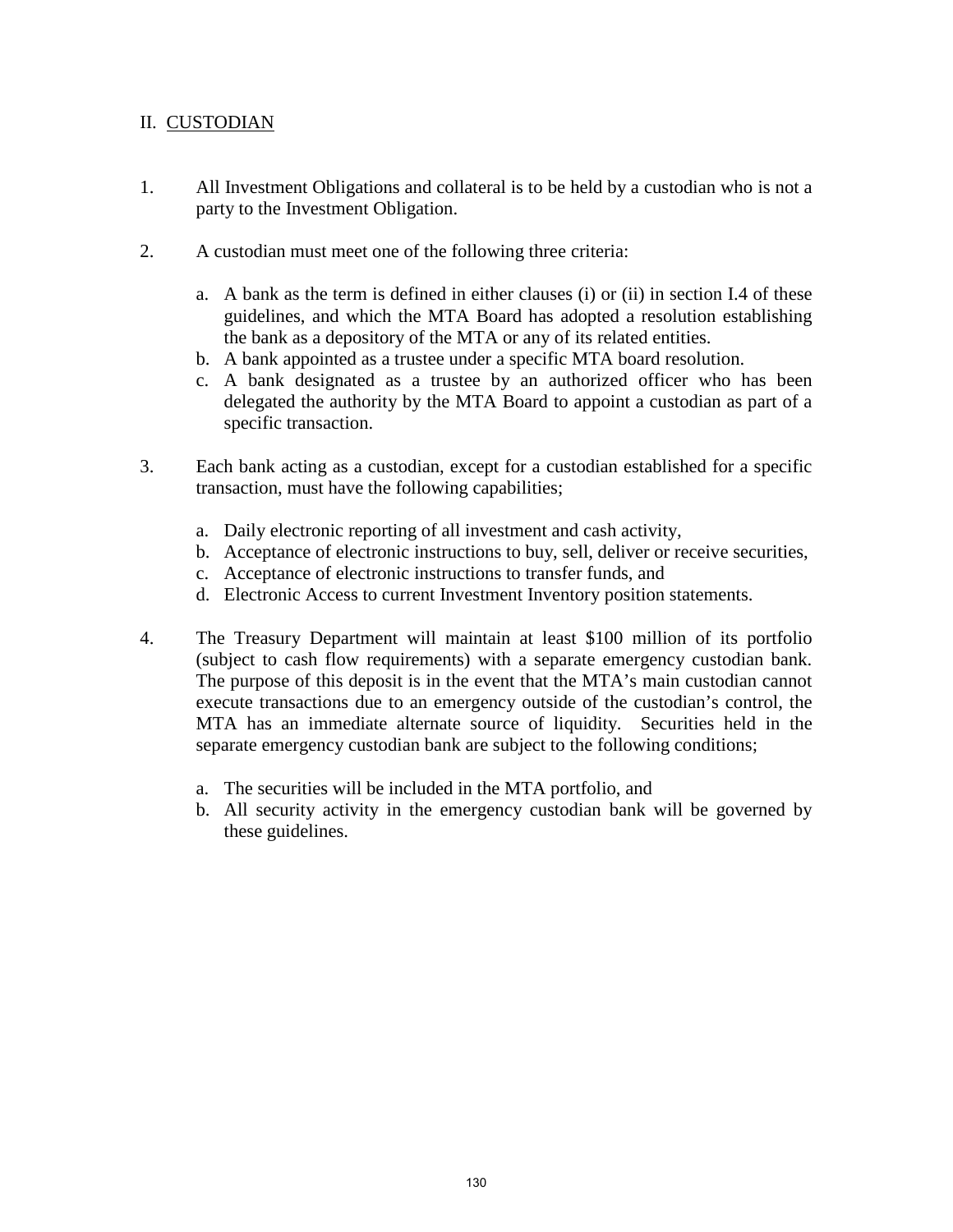# II. CUSTODIAN

- 1. All Investment Obligations and collateral is to be held by a custodian who is not a party to the Investment Obligation.
- 2. A custodian must meet one of the following three criteria:
	- a. A bank as the term is defined in either clauses (i) or (ii) in section I.4 of these guidelines, and which the MTA Board has adopted a resolution establishing the bank as a depository of the MTA or any of its related entities.
	- b. A bank appointed as a trustee under a specific MTA board resolution.
	- c. A bank designated as a trustee by an authorized officer who has been delegated the authority by the MTA Board to appoint a custodian as part of a specific transaction.
- 3. Each bank acting as a custodian, except for a custodian established for a specific transaction, must have the following capabilities;
	- a. Daily electronic reporting of all investment and cash activity,
	- b. Acceptance of electronic instructions to buy, sell, deliver or receive securities,
	- c. Acceptance of electronic instructions to transfer funds, and
	- d. Electronic Access to current Investment Inventory position statements.
- 4. The Treasury Department will maintain at least \$100 million of its portfolio (subject to cash flow requirements) with a separate emergency custodian bank. The purpose of this deposit is in the event that the MTA's main custodian cannot execute transactions due to an emergency outside of the custodian's control, the MTA has an immediate alternate source of liquidity. Securities held in the separate emergency custodian bank are subject to the following conditions;
	- a. The securities will be included in the MTA portfolio, and
	- b. All security activity in the emergency custodian bank will be governed by these guidelines.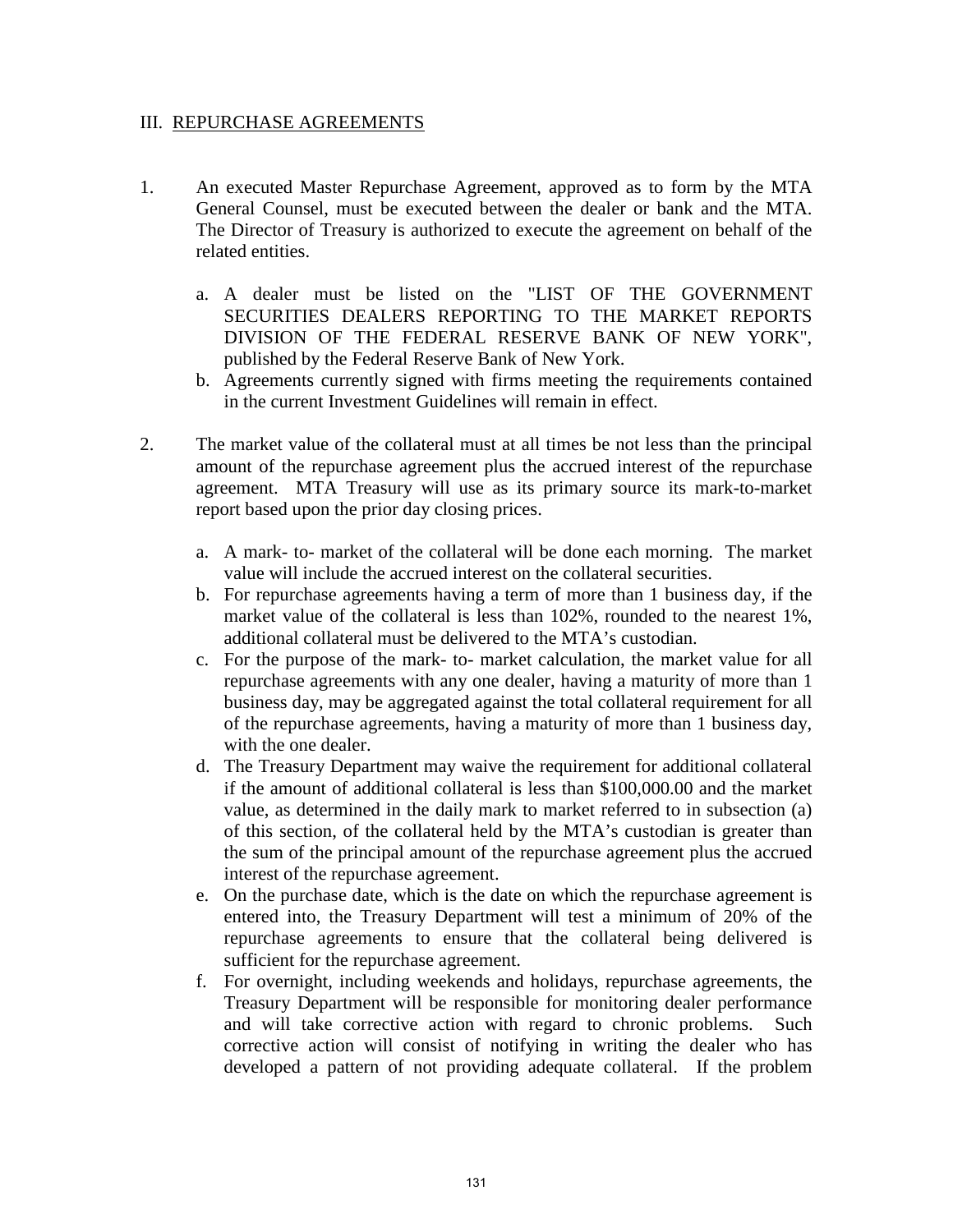#### III. REPURCHASE AGREEMENTS

- 1. An executed Master Repurchase Agreement, approved as to form by the MTA General Counsel, must be executed between the dealer or bank and the MTA. The Director of Treasury is authorized to execute the agreement on behalf of the related entities.
	- a. A dealer must be listed on the "LIST OF THE GOVERNMENT SECURITIES DEALERS REPORTING TO THE MARKET REPORTS DIVISION OF THE FEDERAL RESERVE BANK OF NEW YORK", published by the Federal Reserve Bank of New York.
	- b. Agreements currently signed with firms meeting the requirements contained in the current Investment Guidelines will remain in effect.
- 2. The market value of the collateral must at all times be not less than the principal amount of the repurchase agreement plus the accrued interest of the repurchase agreement. MTA Treasury will use as its primary source its mark-to-market report based upon the prior day closing prices.
	- a. A mark- to- market of the collateral will be done each morning. The market value will include the accrued interest on the collateral securities.
	- b. For repurchase agreements having a term of more than 1 business day, if the market value of the collateral is less than 102%, rounded to the nearest 1%, additional collateral must be delivered to the MTA's custodian.
	- c. For the purpose of the mark- to- market calculation, the market value for all repurchase agreements with any one dealer, having a maturity of more than 1 business day, may be aggregated against the total collateral requirement for all of the repurchase agreements, having a maturity of more than 1 business day, with the one dealer.
	- d. The Treasury Department may waive the requirement for additional collateral if the amount of additional collateral is less than \$100,000.00 and the market value, as determined in the daily mark to market referred to in subsection (a) of this section, of the collateral held by the MTA's custodian is greater than the sum of the principal amount of the repurchase agreement plus the accrued interest of the repurchase agreement.
	- e. On the purchase date, which is the date on which the repurchase agreement is entered into, the Treasury Department will test a minimum of 20% of the repurchase agreements to ensure that the collateral being delivered is sufficient for the repurchase agreement.
	- f. For overnight, including weekends and holidays, repurchase agreements, the Treasury Department will be responsible for monitoring dealer performance and will take corrective action with regard to chronic problems. Such corrective action will consist of notifying in writing the dealer who has developed a pattern of not providing adequate collateral. If the problem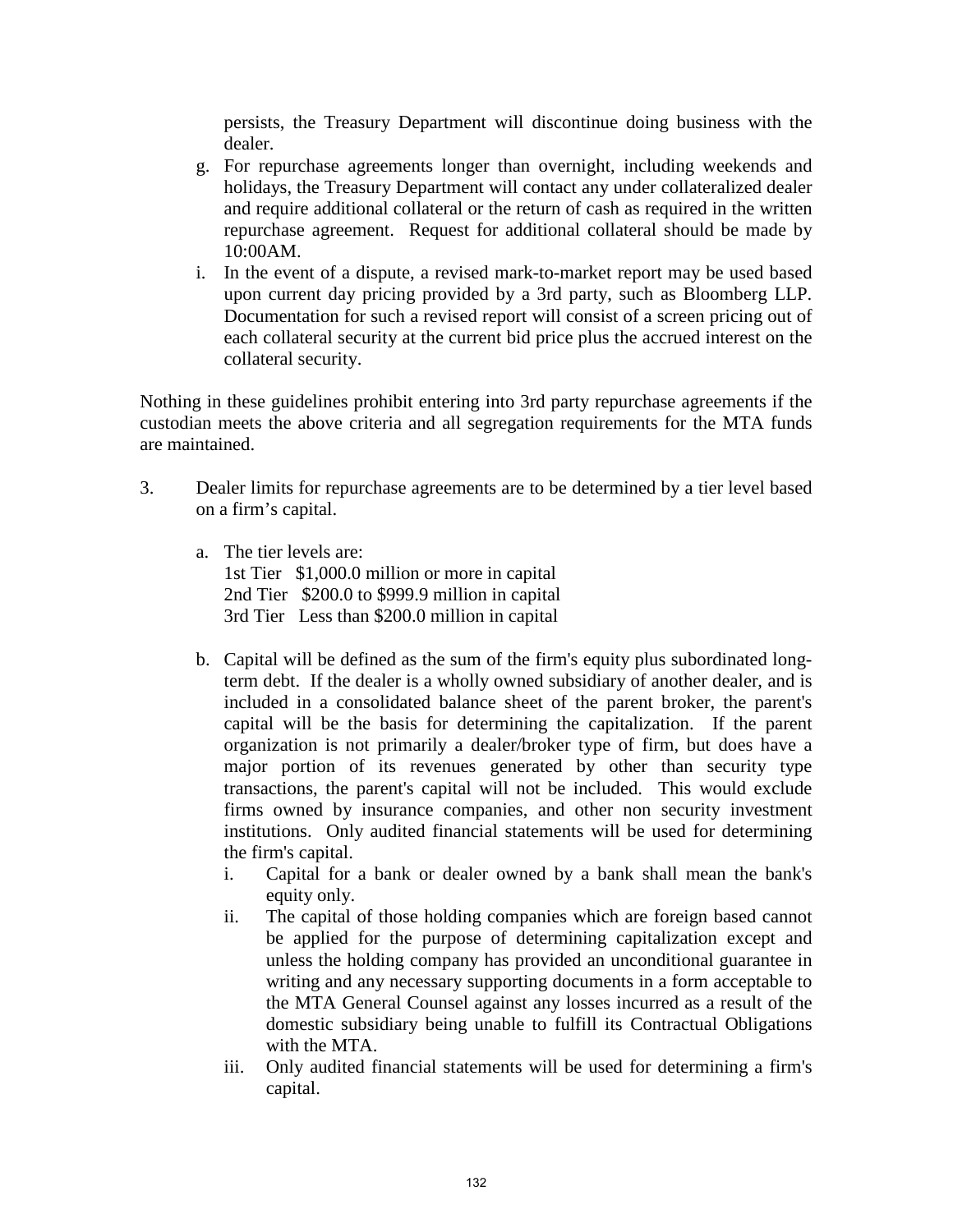persists, the Treasury Department will discontinue doing business with the dealer.

- g. For repurchase agreements longer than overnight, including weekends and holidays, the Treasury Department will contact any under collateralized dealer and require additional collateral or the return of cash as required in the written repurchase agreement. Request for additional collateral should be made by 10:00AM.
- i. In the event of a dispute, a revised mark-to-market report may be used based upon current day pricing provided by a 3rd party, such as Bloomberg LLP. Documentation for such a revised report will consist of a screen pricing out of each collateral security at the current bid price plus the accrued interest on the collateral security.

Nothing in these guidelines prohibit entering into 3rd party repurchase agreements if the custodian meets the above criteria and all segregation requirements for the MTA funds are maintained.

- 3. Dealer limits for repurchase agreements are to be determined by a tier level based on a firm's capital.
	- a. The tier levels are: 1st Tier \$1,000.0 million or more in capital 2nd Tier \$200.0 to \$999.9 million in capital 3rd Tier Less than \$200.0 million in capital
	- b. Capital will be defined as the sum of the firm's equity plus subordinated longterm debt. If the dealer is a wholly owned subsidiary of another dealer, and is included in a consolidated balance sheet of the parent broker, the parent's capital will be the basis for determining the capitalization. If the parent organization is not primarily a dealer/broker type of firm, but does have a major portion of its revenues generated by other than security type transactions, the parent's capital will not be included. This would exclude firms owned by insurance companies, and other non security investment institutions. Only audited financial statements will be used for determining the firm's capital.
		- i. Capital for a bank or dealer owned by a bank shall mean the bank's equity only.
		- ii. The capital of those holding companies which are foreign based cannot be applied for the purpose of determining capitalization except and unless the holding company has provided an unconditional guarantee in writing and any necessary supporting documents in a form acceptable to the MTA General Counsel against any losses incurred as a result of the domestic subsidiary being unable to fulfill its Contractual Obligations with the MTA.
		- iii. Only audited financial statements will be used for determining a firm's capital.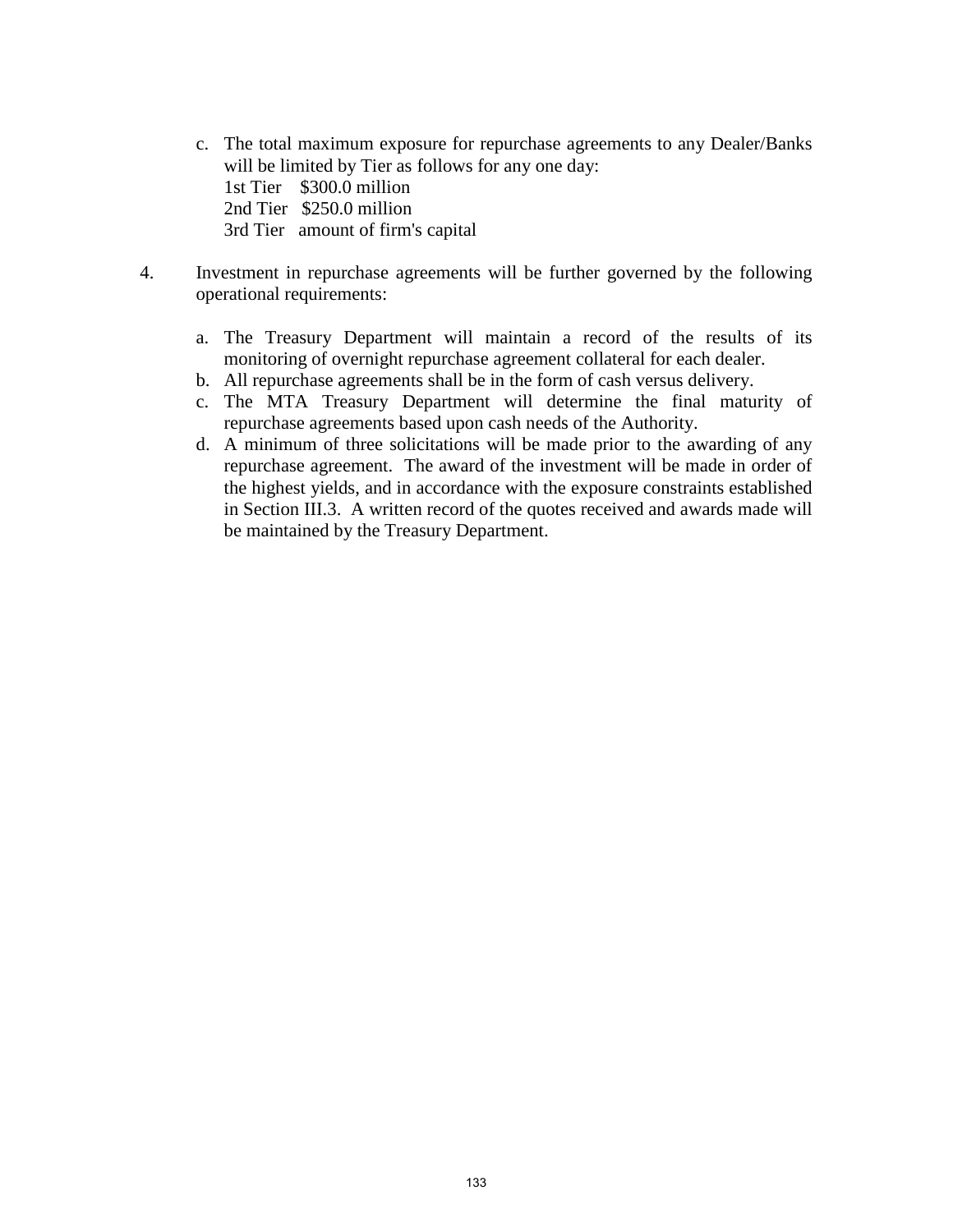c. The total maximum exposure for repurchase agreements to any Dealer/Banks will be limited by Tier as follows for any one day:

 1st Tier \$300.0 million 2nd Tier \$250.0 million

3rd Tier amount of firm's capital

- 4. Investment in repurchase agreements will be further governed by the following operational requirements:
	- a. The Treasury Department will maintain a record of the results of its monitoring of overnight repurchase agreement collateral for each dealer.
	- b. All repurchase agreements shall be in the form of cash versus delivery.
	- c. The MTA Treasury Department will determine the final maturity of repurchase agreements based upon cash needs of the Authority.
	- d. A minimum of three solicitations will be made prior to the awarding of any repurchase agreement. The award of the investment will be made in order of the highest yields, and in accordance with the exposure constraints established in Section III.3. A written record of the quotes received and awards made will be maintained by the Treasury Department.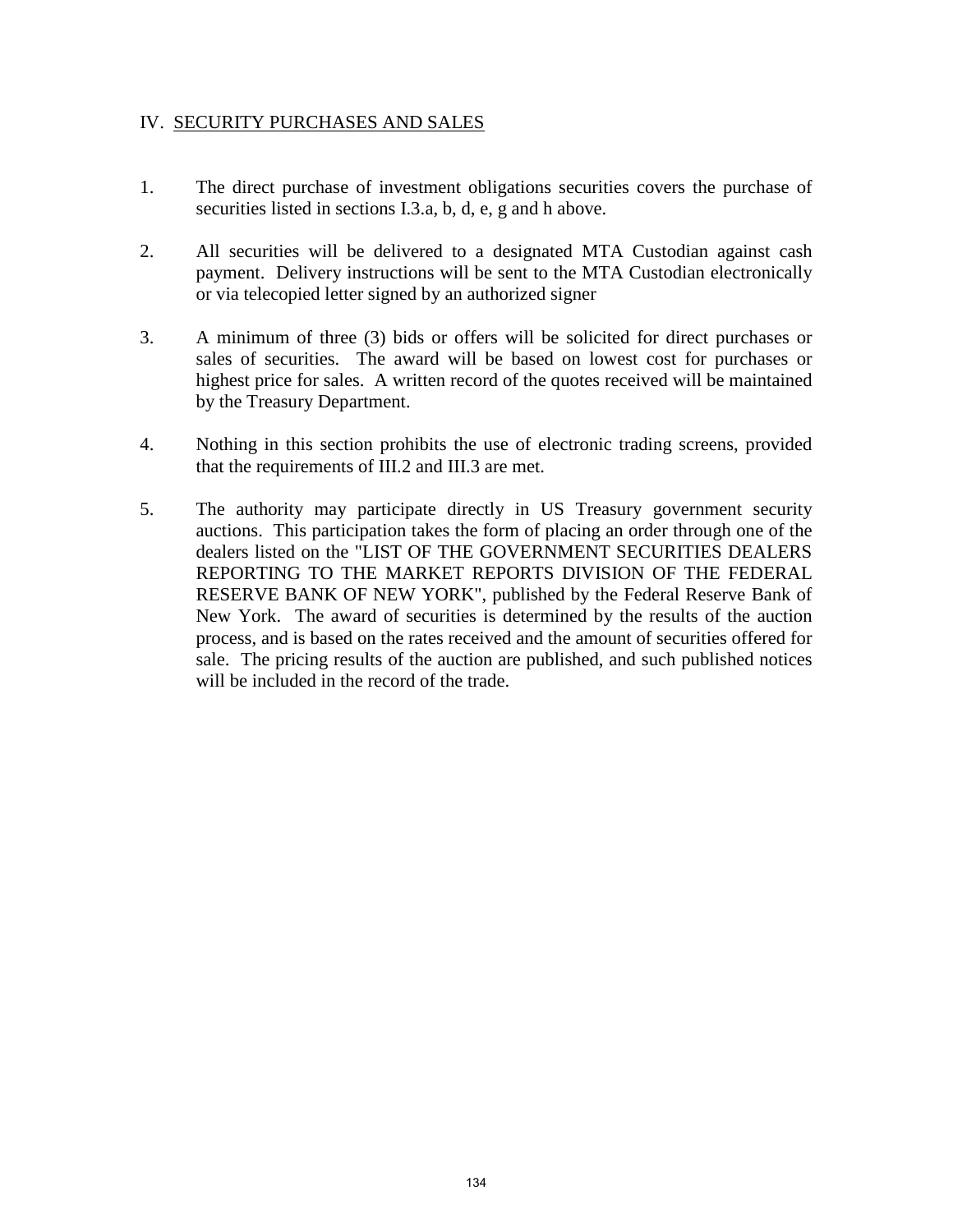### IV. SECURITY PURCHASES AND SALES

- 1. The direct purchase of investment obligations securities covers the purchase of securities listed in sections I.3.a, b, d, e, g and h above.
- 2. All securities will be delivered to a designated MTA Custodian against cash payment. Delivery instructions will be sent to the MTA Custodian electronically or via telecopied letter signed by an authorized signer
- 3. A minimum of three (3) bids or offers will be solicited for direct purchases or sales of securities. The award will be based on lowest cost for purchases or highest price for sales. A written record of the quotes received will be maintained by the Treasury Department.
- 4. Nothing in this section prohibits the use of electronic trading screens, provided that the requirements of III.2 and III.3 are met.
- 5. The authority may participate directly in US Treasury government security auctions. This participation takes the form of placing an order through one of the dealers listed on the "LIST OF THE GOVERNMENT SECURITIES DEALERS REPORTING TO THE MARKET REPORTS DIVISION OF THE FEDERAL RESERVE BANK OF NEW YORK", published by the Federal Reserve Bank of New York. The award of securities is determined by the results of the auction process, and is based on the rates received and the amount of securities offered for sale. The pricing results of the auction are published, and such published notices will be included in the record of the trade.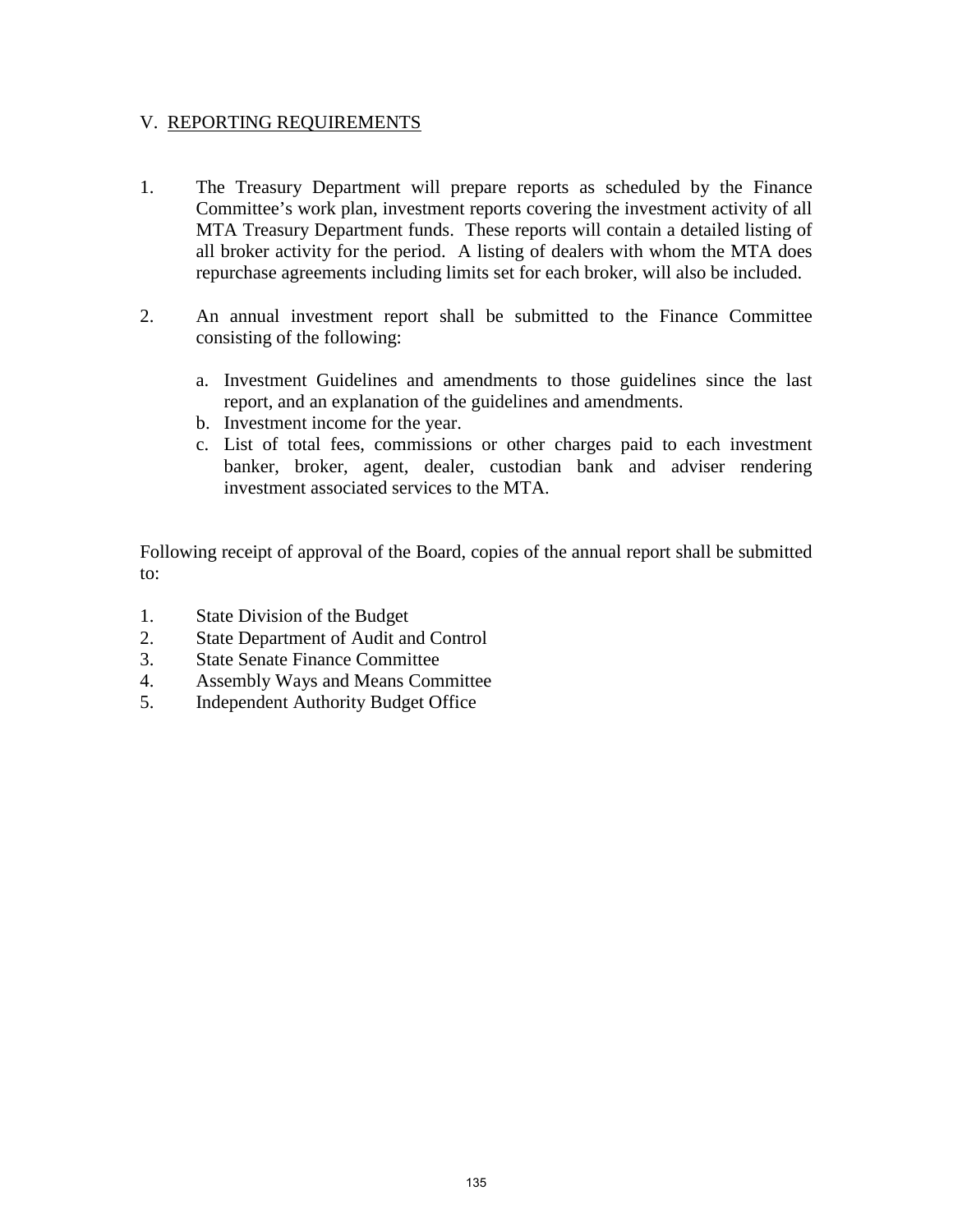### V. REPORTING REQUIREMENTS

- 1. The Treasury Department will prepare reports as scheduled by the Finance Committee's work plan, investment reports covering the investment activity of all MTA Treasury Department funds. These reports will contain a detailed listing of all broker activity for the period. A listing of dealers with whom the MTA does repurchase agreements including limits set for each broker, will also be included.
- 2. An annual investment report shall be submitted to the Finance Committee consisting of the following:
	- a. Investment Guidelines and amendments to those guidelines since the last report, and an explanation of the guidelines and amendments.
	- b. Investment income for the year.
	- c. List of total fees, commissions or other charges paid to each investment banker, broker, agent, dealer, custodian bank and adviser rendering investment associated services to the MTA.

Following receipt of approval of the Board, copies of the annual report shall be submitted to:

- 1. State Division of the Budget
- 2. State Department of Audit and Control
- 3. State Senate Finance Committee
- 4. Assembly Ways and Means Committee
- 5. Independent Authority Budget Office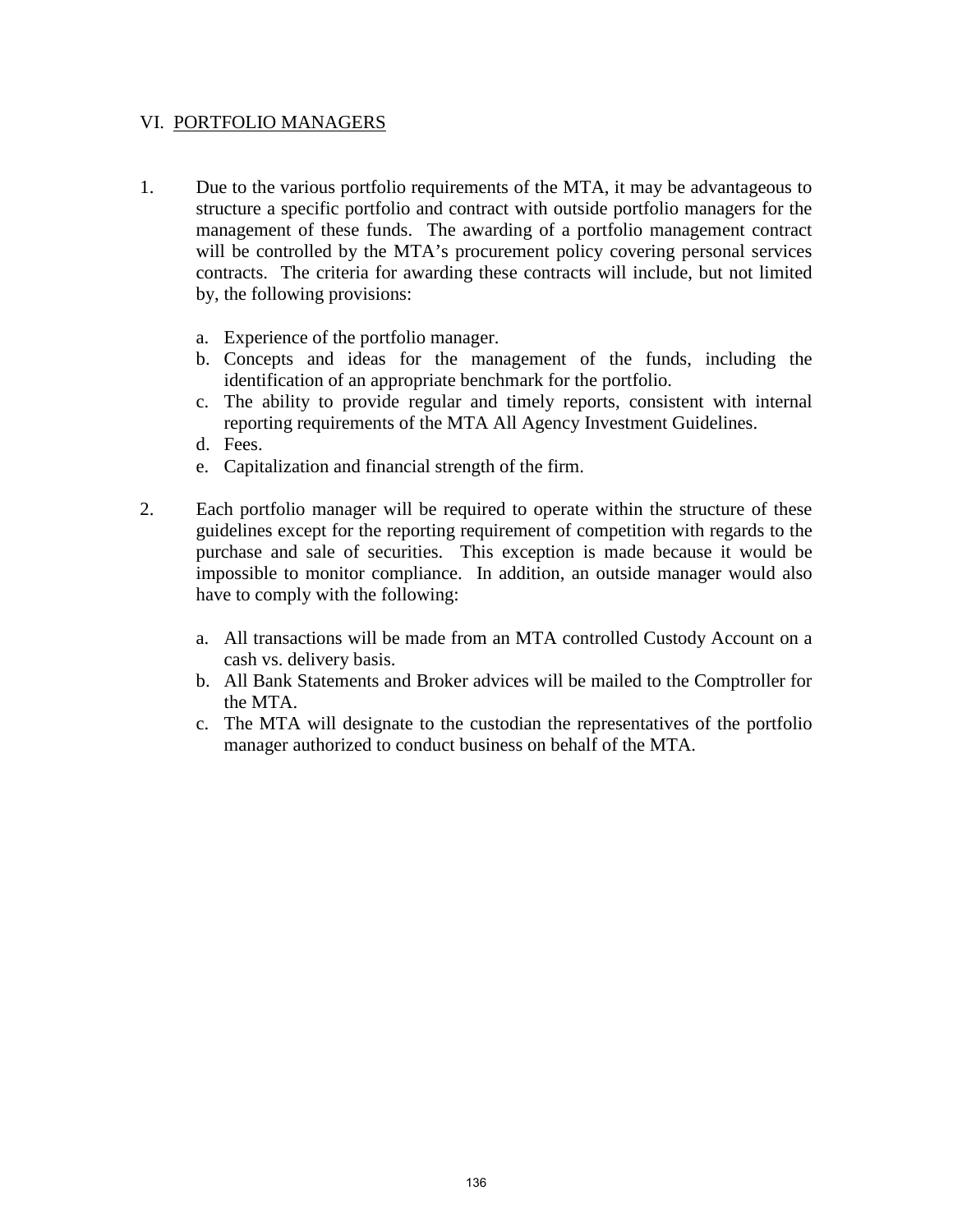### VI. PORTFOLIO MANAGERS

- 1. Due to the various portfolio requirements of the MTA, it may be advantageous to structure a specific portfolio and contract with outside portfolio managers for the management of these funds. The awarding of a portfolio management contract will be controlled by the MTA's procurement policy covering personal services contracts. The criteria for awarding these contracts will include, but not limited by, the following provisions:
	- a. Experience of the portfolio manager.
	- b. Concepts and ideas for the management of the funds, including the identification of an appropriate benchmark for the portfolio.
	- c. The ability to provide regular and timely reports, consistent with internal reporting requirements of the MTA All Agency Investment Guidelines.
	- d. Fees.
	- e. Capitalization and financial strength of the firm.
- 2. Each portfolio manager will be required to operate within the structure of these guidelines except for the reporting requirement of competition with regards to the purchase and sale of securities. This exception is made because it would be impossible to monitor compliance. In addition, an outside manager would also have to comply with the following:
	- a. All transactions will be made from an MTA controlled Custody Account on a cash vs. delivery basis.
	- b. All Bank Statements and Broker advices will be mailed to the Comptroller for the MTA.
	- c. The MTA will designate to the custodian the representatives of the portfolio manager authorized to conduct business on behalf of the MTA.